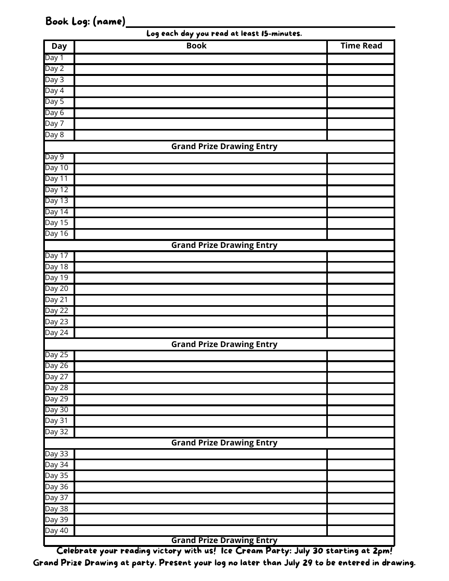## Book Log: (name)

| <b>Day</b>          | <b>Book</b>                      | <b>Time Read</b> |
|---------------------|----------------------------------|------------------|
| Day 1               |                                  |                  |
| Day 2               |                                  |                  |
| Day 3               |                                  |                  |
| Day 4               |                                  |                  |
| Day 5               |                                  |                  |
| Day 6               |                                  |                  |
| Day 7               |                                  |                  |
| Day 8               |                                  |                  |
|                     | <b>Grand Prize Drawing Entry</b> |                  |
| Day 9               |                                  |                  |
| Day 10              |                                  |                  |
| Day 11              |                                  |                  |
| Day 12              |                                  |                  |
| Day 13              |                                  |                  |
| Day 14              |                                  |                  |
| Day $15$            |                                  |                  |
| Day 16              |                                  |                  |
|                     | <b>Grand Prize Drawing Entry</b> |                  |
| Day 17              |                                  |                  |
| Day 18              |                                  |                  |
| Day 19              |                                  |                  |
| Day 20              |                                  |                  |
| Day 21              |                                  |                  |
| Day 22              |                                  |                  |
| Day 23              |                                  |                  |
| Day 24              |                                  |                  |
|                     | <b>Grand Prize Drawing Entry</b> |                  |
| Day 25              |                                  |                  |
| Day 26              |                                  |                  |
| Day 27              |                                  |                  |
| Day 28              |                                  |                  |
| Day 29              |                                  |                  |
| Day 30              |                                  |                  |
| Day 31              |                                  |                  |
| Day 32              |                                  |                  |
|                     | <b>Grand Prize Drawing Entry</b> |                  |
| Day 33              |                                  |                  |
| Day 34              |                                  |                  |
| $\overline{$ Day 35 |                                  |                  |
| Day 36              |                                  |                  |
| Day 37              |                                  |                  |
| Day 38              |                                  |                  |
| Day 39              |                                  |                  |
| Day 40              | <b>Grand Prize Drawing Entry</b> |                  |

Celebrate your reading victory with us! Ice Cream Party: July 30 starting at 2pm! Grand Prize Drawing at party. Present your log no later than July 29 to be entered in drawing.